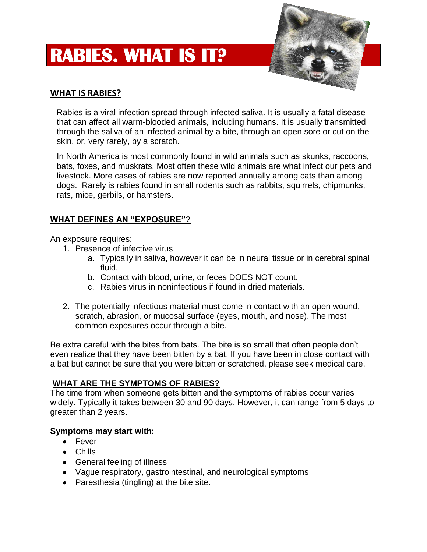# **RABIES. WHAT IS IT?**



## **WHAT IS RABIES?**

Rabies is a viral infection spread through infected saliva. It is usually a fatal disease that can affect all warm-blooded animals, including humans. It is usually transmitted through the saliva of an infected animal by a bite, through an open sore or cut on the skin, or, very rarely, by a scratch.

In North America is most commonly found in wild animals such as skunks, raccoons, bats, foxes, and muskrats. Most often these wild animals are what infect our pets and livestock. More cases of rabies are now reported annually among cats than among dogs. Rarely is rabies found in small rodents such as rabbits, squirrels, chipmunks, rats, mice, gerbils, or hamsters.

## **WHAT DEFINES AN "EXPOSURE"?**

An exposure requires:

- 1. Presence of infective virus
	- a. Typically in saliva, however it can be in neural tissue or in cerebral spinal fluid.
	- b. Contact with blood, urine, or feces DOES NOT count.
	- c. Rabies virus in noninfectious if found in dried materials.
- 2. The potentially infectious material must come in contact with an open wound, scratch, abrasion, or mucosal surface (eyes, mouth, and nose). The most common exposures occur through a bite.

Be extra careful with the bites from bats. The bite is so small that often people don't even realize that they have been bitten by a bat. If you have been in close contact with a bat but cannot be sure that you were bitten or scratched, please seek medical care.

#### **WHAT ARE THE SYMPTOMS OF RABIES?**

The time from when someone gets bitten and the symptoms of rabies occur varies widely. Typically it takes between 30 and 90 days. However, it can range from 5 days to greater than 2 years.

#### **Symptoms may start with:**

- Fever
- Chills
- General feeling of illness
- Vague respiratory, gastrointestinal, and neurological symptoms
- Paresthesia (tingling) at the bite site.